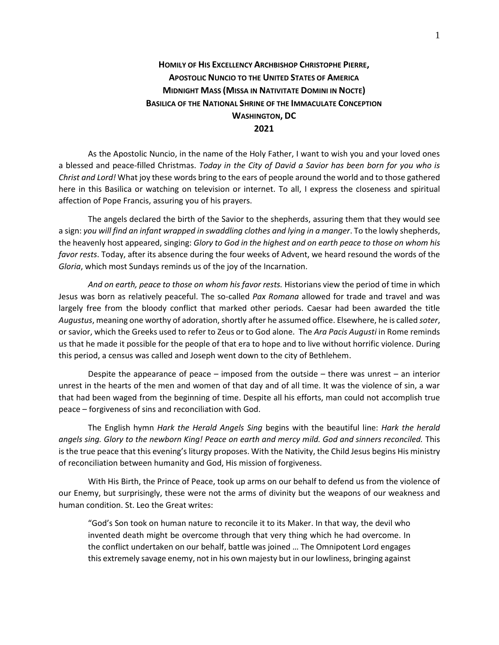## **HOMILY OF HIS EXCELLENCY ARCHBISHOP CHRISTOPHE PIERRE, APOSTOLIC NUNCIO TO THE UNITED STATES OF AMERICA MIDNIGHT MASS (MISSA IN NATIVITATE DOMINI IN NOCTE) BASILICA OF THE NATIONAL SHRINE OF THE IMMACULATE CONCEPTION WASHINGTON, DC 2021**

As the Apostolic Nuncio, in the name of the Holy Father, I want to wish you and your loved ones a blessed and peace-filled Christmas. *Today in the City of David a Savior has been born for you who is Christ and Lord!* What joy these words bring to the ears of people around the world and to those gathered here in this Basilica or watching on television or internet. To all, I express the closeness and spiritual affection of Pope Francis, assuring you of his prayers.

The angels declared the birth of the Savior to the shepherds, assuring them that they would see a sign: *you will find an infant wrapped in swaddling clothes and lying in a manger*. To the lowly shepherds, the heavenly host appeared, singing: *Glory to God in the highest and on earth peace to those on whom his favor rests*. Today, after its absence during the four weeks of Advent, we heard resound the words of the *Gloria*, which most Sundays reminds us of the joy of the Incarnation.

And on earth, peace to those on whom his favor rests. Historians view the period of time in which Jesus was born as relatively peaceful. The so-called *Pax Romana* allowed for trade and travel and was largely free from the bloody conflict that marked other periods. Caesar had been awarded the title *Augustus*, meaning one worthy of adoration, shortly after he assumed office. Elsewhere, he is called *soter*, or savior, which the Greeks used to refer to Zeus or to God alone. The *Ara Pacis Augusti* in Rome reminds us that he made it possible for the people of that era to hope and to live without horrific violence. During this period, a census was called and Joseph went down to the city of Bethlehem.

Despite the appearance of peace – imposed from the outside – there was unrest – an interior unrest in the hearts of the men and women of that day and of all time. It was the violence of sin, a war that had been waged from the beginning of time. Despite all his efforts, man could not accomplish true peace – forgiveness of sins and reconciliation with God.

The English hymn *Hark the Herald Angels Sing* begins with the beautiful line: *Hark the herald angels sing. Glory to the newborn King! Peace on earth and mercy mild. God and sinners reconciled.* This is the true peace that this evening's liturgy proposes. With the Nativity, the Child Jesus begins His ministry of reconciliation between humanity and God, His mission of forgiveness.

With His Birth, the Prince of Peace, took up arms on our behalf to defend us from the violence of our Enemy, but surprisingly, these were not the arms of divinity but the weapons of our weakness and human condition. St. Leo the Great writes:

"God's Son took on human nature to reconcile it to its Maker. In that way, the devil who invented death might be overcome through that very thing which he had overcome. In the conflict undertaken on our behalf, battle was joined … The Omnipotent Lord engages this extremely savage enemy, not in his own majesty but in our lowliness, bringing against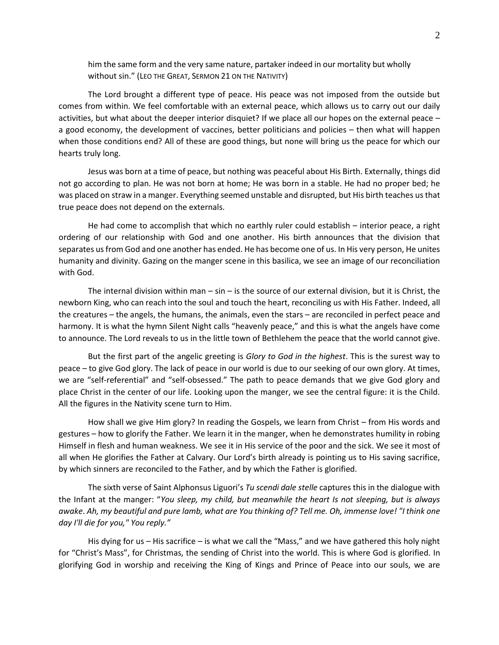him the same form and the very same nature, partaker indeed in our mortality but wholly without sin." (LEO THE GREAT, SERMON 21 ON THE NATIVITY)

The Lord brought a different type of peace. His peace was not imposed from the outside but comes from within. We feel comfortable with an external peace, which allows us to carry out our daily activities, but what about the deeper interior disquiet? If we place all our hopes on the external peace – a good economy, the development of vaccines, better politicians and policies – then what will happen when those conditions end? All of these are good things, but none will bring us the peace for which our hearts truly long.

Jesus was born at a time of peace, but nothing was peaceful about His Birth. Externally, things did not go according to plan. He was not born at home; He was born in a stable. He had no proper bed; he was placed on straw in a manger. Everything seemed unstable and disrupted, but His birth teaches us that true peace does not depend on the externals.

He had come to accomplish that which no earthly ruler could establish – interior peace, a right ordering of our relationship with God and one another. His birth announces that the division that separates us from God and one another has ended. He has become one of us. In His very person, He unites humanity and divinity. Gazing on the manger scene in this basilica, we see an image of our reconciliation with God.

The internal division within man  $-$  sin  $-$  is the source of our external division, but it is Christ, the newborn King, who can reach into the soul and touch the heart, reconciling us with His Father. Indeed, all the creatures – the angels, the humans, the animals, even the stars – are reconciled in perfect peace and harmony. It is what the hymn Silent Night calls "heavenly peace," and this is what the angels have come to announce. The Lord reveals to us in the little town of Bethlehem the peace that the world cannot give.

But the first part of the angelic greeting is *Glory to God in the highest*. This is the surest way to peace – to give God glory. The lack of peace in our world is due to our seeking of our own glory. At times, we are "self-referential" and "self-obsessed." The path to peace demands that we give God glory and place Christ in the center of our life. Looking upon the manger, we see the central figure: it is the Child. All the figures in the Nativity scene turn to Him.

How shall we give Him glory? In reading the Gospels, we learn from Christ – from His words and gestures – how to glorify the Father. We learn it in the manger, when he demonstrates humility in robing Himself in flesh and human weakness. We see it in His service of the poor and the sick. We see it most of all when He glorifies the Father at Calvary. Our Lord's birth already is pointing us to His saving sacrifice, by which sinners are reconciled to the Father, and by which the Father is glorified.

The sixth verse of Saint Alphonsus Liguori's *Tu scendi dale stelle* captures this in the dialogue with the Infant at the manger: "*You sleep, my child, but meanwhile the heart Is not sleeping, but is always awake*. *Ah, my beautiful and pure lamb, what are You thinking of? Tell me. Oh, immense love! "I think one day I'll die for you," You reply."*

His dying for us - His sacrifice - is what we call the "Mass," and we have gathered this holy night for "Christ's Mass", for Christmas, the sending of Christ into the world. This is where God is glorified. In glorifying God in worship and receiving the King of Kings and Prince of Peace into our souls, we are